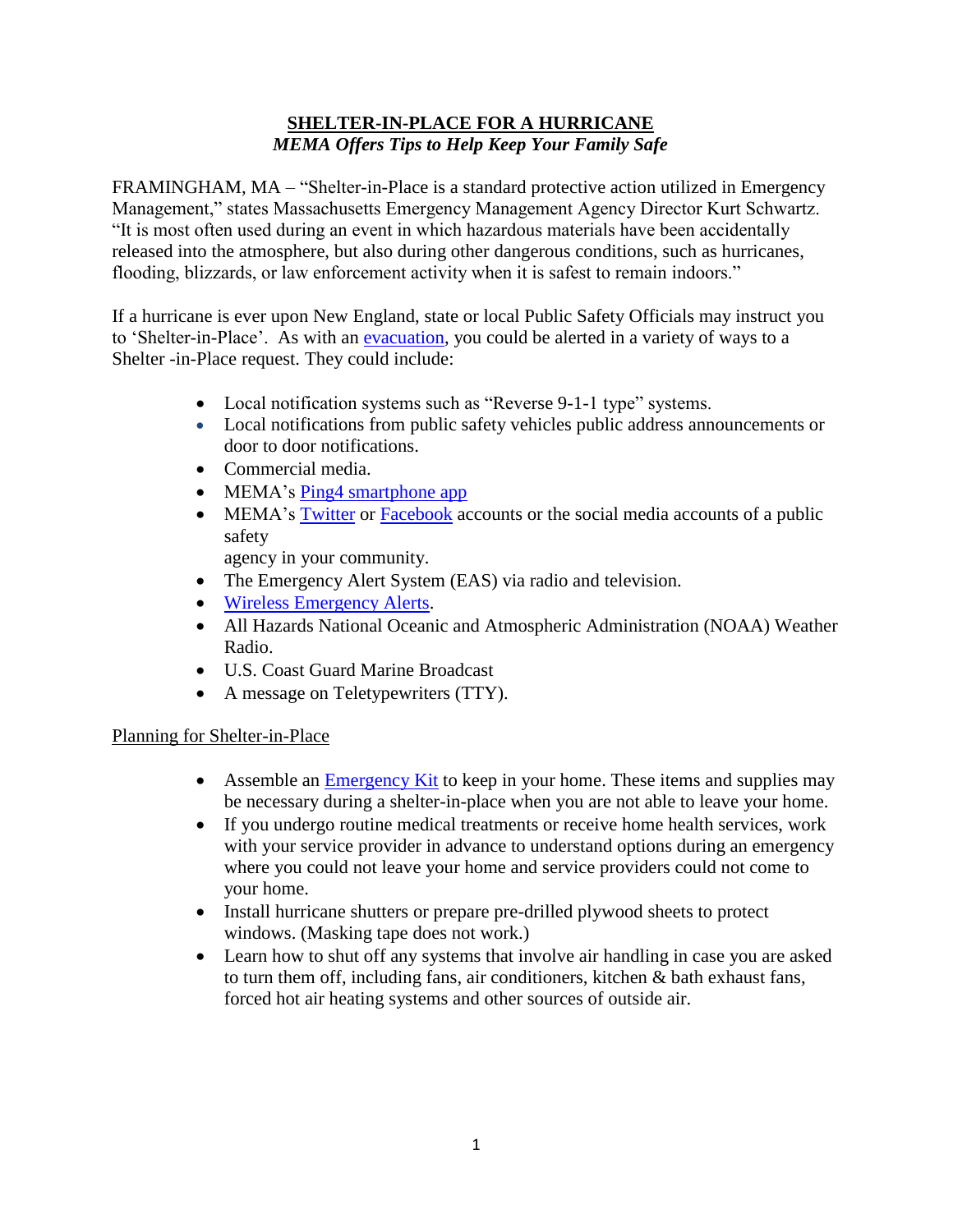## **SHELTER-IN-PLACE FOR A HURRICANE** *MEMA Offers Tips to Help Keep Your Family Safe*

FRAMINGHAM, MA – "Shelter-in-Place is a standard protective action utilized in Emergency Management," states Massachusetts Emergency Management Agency Director Kurt Schwartz. "It is most often used during an event in which hazardous materials have been accidentally released into the atmosphere, but also during other dangerous conditions, such as hurricanes, flooding, blizzards, or law enforcement activity when it is safest to remain indoors."

If a hurricane is ever upon New England, state or local Public Safety Officials may instruct you to 'Shelter-in-Place'. As with an [evacuation,](http://www.mass.gov/eopss/agencies/mema/ready-massachusetts/evacuation.html) you could be alerted in a variety of ways to a Shelter -in-Place request. They could include:

- Local notification systems such as "Reverse 9-1-1 type" systems.
- Local notifications from public safety vehicles public address announcements or door to door notifications.
- Commercial media.
- MEMA's [Ping4 smartphone app](http://www.mass.gov/eopss/agencies/mema/get-emergency-information-on-your-cellphone.html#Ping4alerts)
- MEMA's [Twitter](https://twitter.com/MassEMA) or [Facebook](https://www.facebook.com/MassachusettsEMA) accounts or the social media accounts of a public safety

agency in your community.

- The Emergency Alert System (EAS) via radio and television.
- [Wireless Emergency Alerts.](http://www.mass.gov/eopss/agencies/mema/get-emergency-information-on-your-cellphone.html#WirelessEmergencyAlerts)
- All Hazards National Oceanic and Atmospheric Administration (NOAA) Weather Radio.
- U.S. Coast Guard Marine Broadcast
- A message on Teletypewriters (TTY).

## Planning for Shelter-in-Place

- Assemble an **Emergency Kit** to keep in your home. These items and supplies may be necessary during a shelter-in-place when you are not able to leave your home.
- If you undergo routine medical treatments or receive home health services, work with your service provider in advance to understand options during an emergency where you could not leave your home and service providers could not come to your home.
- Install hurricane shutters or prepare pre-drilled plywood sheets to protect windows. (Masking tape does not work.)
- Learn how to shut off any systems that involve air handling in case you are asked to turn them off, including fans, air conditioners, kitchen & bath exhaust fans, forced hot air heating systems and other sources of outside air.